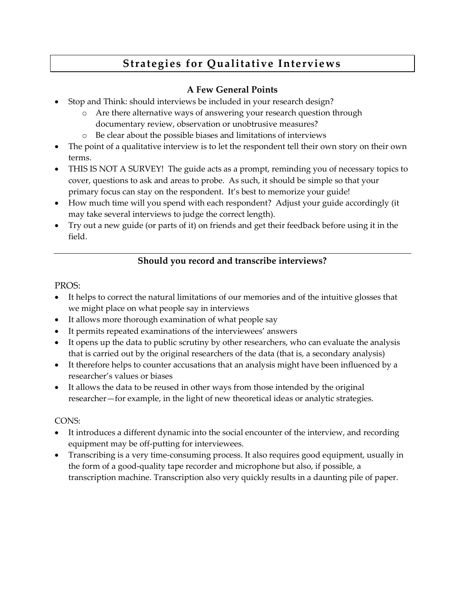# **Strategies for Qualitative Interviews**

## **A Few General Points**

- Stop and Think: should interviews be included in your research design?
	- o Are there alternative ways of answering your research question through documentary review, observation or unobtrusive measures?
	- o Be clear about the possible biases and limitations of interviews
- The point of a qualitative interview is to let the respondent tell their own story on their own terms.
- THIS IS NOT A SURVEY! The guide acts as a prompt, reminding you of necessary topics to cover, questions to ask and areas to probe. As such, it should be simple so that your primary focus can stay on the respondent. It's best to memorize your guide!
- How much time will you spend with each respondent? Adjust your guide accordingly (it may take several interviews to judge the correct length).
- Try out a new guide (or parts of it) on friends and get their feedback before using it in the field.

## **Should you record and transcribe interviews?**

#### PROS:

- It helps to correct the natural limitations of our memories and of the intuitive glosses that we might place on what people say in interviews
- It allows more thorough examination of what people say
- It permits repeated examinations of the interviewees' answers
- It opens up the data to public scrutiny by other researchers, who can evaluate the analysis that is carried out by the original researchers of the data (that is, a secondary analysis)
- It therefore helps to counter accusations that an analysis might have been influenced by a researcher's values or biases
- It allows the data to be reused in other ways from those intended by the original researcher—for example, in the light of new theoretical ideas or analytic strategies.

#### CONS:

- It introduces a different dynamic into the social encounter of the interview, and recording equipment may be off-putting for interviewees.
- Transcribing is a very time-consuming process. It also requires good equipment, usually in the form of a good-quality tape recorder and microphone but also, if possible, a transcription machine. Transcription also very quickly results in a daunting pile of paper.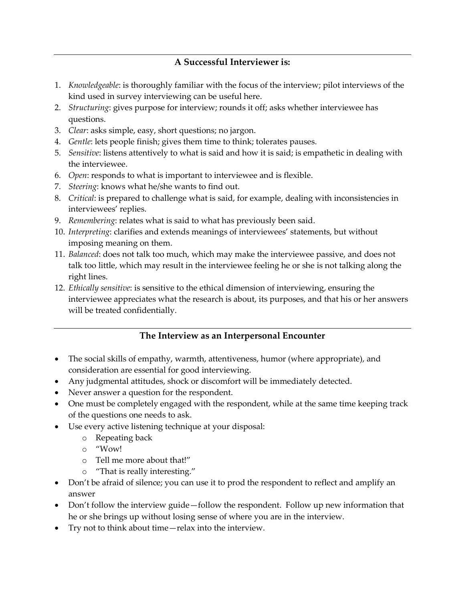### **A Successful Interviewer is:**

- 1. *Knowledgeable*: is thoroughly familiar with the focus of the interview; pilot interviews of the kind used in survey interviewing can be useful here.
- 2. *Structuring*: gives purpose for interview; rounds it off; asks whether interviewee has questions.
- 3. *Clear*: asks simple, easy, short questions; no jargon.
- 4. *Gentle*: lets people finish; gives them time to think; tolerates pauses.
- 5. *Sensitive*: listens attentively to what is said and how it is said; is empathetic in dealing with the interviewee.
- 6. *Open*: responds to what is important to interviewee and is flexible.
- 7. *Steering*: knows what he/she wants to find out.
- 8. *Critical*: is prepared to challenge what is said, for example, dealing with inconsistencies in interviewees' replies.
- 9. *Remembering*: relates what is said to what has previously been said.
- 10. *Interpreting*: clarifies and extends meanings of interviewees' statements, but without imposing meaning on them.
- 11. *Balanced*: does not talk too much, which may make the interviewee passive, and does not talk too little, which may result in the interviewee feeling he or she is not talking along the right lines.
- 12. *Ethically sensitive*: is sensitive to the ethical dimension of interviewing, ensuring the interviewee appreciates what the research is about, its purposes, and that his or her answers will be treated confidentially.

#### **The Interview as an Interpersonal Encounter**

- The social skills of empathy, warmth, attentiveness, humor (where appropriate), and consideration are essential for good interviewing.
- Any judgmental attitudes, shock or discomfort will be immediately detected.
- Never answer a question for the respondent.
- One must be completely engaged with the respondent, while at the same time keeping track of the questions one needs to ask.
- Use every active listening technique at your disposal:
	- o Repeating back
	- o "Wow!
	- o Tell me more about that!"
	- o "That is really interesting."
- Don't be afraid of silence; you can use it to prod the respondent to reflect and amplify an answer
- Don't follow the interview guide—follow the respondent. Follow up new information that he or she brings up without losing sense of where you are in the interview.
- Try not to think about time—relax into the interview.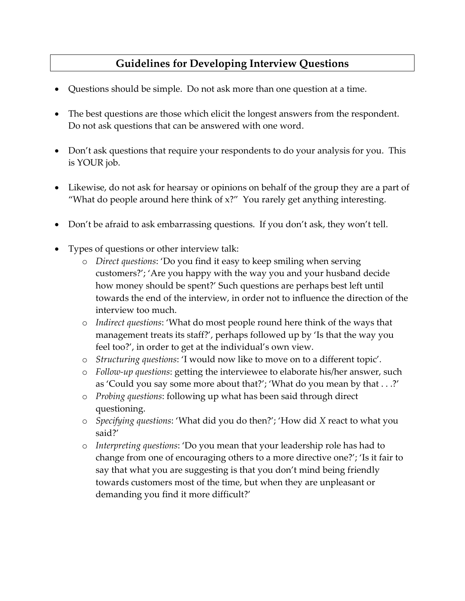## **Guidelines for Developing Interview Questions**

- Questions should be simple. Do not ask more than one question at a time.
- The best questions are those which elicit the longest answers from the respondent. Do not ask questions that can be answered with one word.
- Don't ask questions that require your respondents to do your analysis for you. This is YOUR job.
- Likewise, do not ask for hearsay or opinions on behalf of the group they are a part of "What do people around here think of x?" You rarely get anything interesting.
- Don't be afraid to ask embarrassing questions. If you don't ask, they won't tell.
- Types of questions or other interview talk:
	- o *Direct questions*: 'Do you find it easy to keep smiling when serving customers?'; 'Are you happy with the way you and your husband decide how money should be spent?' Such questions are perhaps best left until towards the end of the interview, in order not to influence the direction of the interview too much.
	- o *Indirect questions*: 'What do most people round here think of the ways that management treats its staff?', perhaps followed up by 'Is that the way you feel too?', in order to get at the individual's own view.
	- o *Structuring questions*: 'I would now like to move on to a different topic'.
	- o *Follow-up questions*: getting the interviewee to elaborate his/her answer, such as 'Could you say some more about that?'; 'What do you mean by that . . .?'
	- o *Probing questions*: following up what has been said through direct questioning.
	- o *Specifying questions*: 'What did you do then?'; 'How did *X* react to what you said?'
	- o *Interpreting questions*: 'Do you mean that your leadership role has had to change from one of encouraging others to a more directive one?'; 'Is it fair to say that what you are suggesting is that you don't mind being friendly towards customers most of the time, but when they are unpleasant or demanding you find it more difficult?'